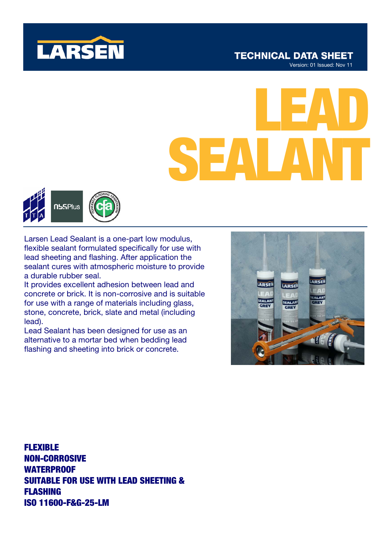

# **TECHNICAL DATA SHEET**

Version: 01 Issued: Nov 11

# LEAD SEALANT



Larsen Lead Sealant is a one-part low modulus, flexible sealant formulated specifically for use with lead sheeting and flashing. After application the sealant cures with atmospheric moisture to provide a durable rubber seal.

It provides excellent adhesion between lead and concrete or brick. It is non-corrosive and is suitable for use with a range of materials including glass, stone, concrete, brick, slate and metal (including lead).

Lead Sealant has been designed for use as an alternative to a mortar bed when bedding lead flashing and sheeting into brick or concrete.



FLEXIBLE NON-CORROSIVE WATERPROOF SUITABLE FOR USE WITH LEAD SHEETING & FLASHING ISO 11600-F&G-25-LM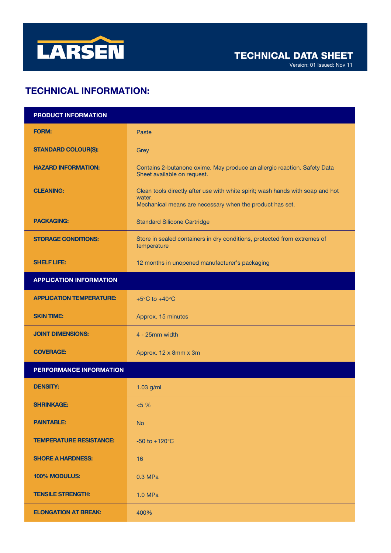

Version: 01 Issued: Nov 11

## TECHNICAL INFORMATION:

| <b>PRODUCT INFORMATION</b>      |                                                                                                                                                      |
|---------------------------------|------------------------------------------------------------------------------------------------------------------------------------------------------|
| <b>FORM:</b>                    | Paste                                                                                                                                                |
| <b>STANDARD COLOUR(S):</b>      | Grey                                                                                                                                                 |
| <b>HAZARD INFORMATION:</b>      | Contains 2-butanone oxime. May produce an allergic reaction. Safety Data<br>Sheet available on request.                                              |
| <b>CLEANING:</b>                | Clean tools directly after use with white spirit; wash hands with soap and hot<br>water.<br>Mechanical means are necessary when the product has set. |
| <b>PACKAGING:</b>               | <b>Standard Silicone Cartridge</b>                                                                                                                   |
| <b>STORAGE CONDITIONS:</b>      | Store in sealed containers in dry conditions, protected from extremes of<br>temperature                                                              |
| <b>SHELF LIFE:</b>              | 12 months in unopened manufacturer's packaging                                                                                                       |
| <b>APPLICATION INFORMATION</b>  |                                                                                                                                                      |
| <b>APPLICATION TEMPERATURE:</b> | +5 $\mathrm{^{\circ}C}$ to +40 $\mathrm{^{\circ}C}$                                                                                                  |
| <b>SKIN TIME:</b>               | Approx. 15 minutes                                                                                                                                   |
| <b>JOINT DIMENSIONS:</b>        | 4 - 25mm width                                                                                                                                       |
| <b>COVERAGE:</b>                | Approx. 12 x 8mm x 3m                                                                                                                                |
| PERFORMANCE INFORMATION         |                                                                                                                                                      |
| <b>DENSITY:</b>                 | $1.03$ g/ml                                                                                                                                          |
| <b>SHRINKAGE:</b>               | $< 5 \%$                                                                                                                                             |
| <b>PAINTABLE:</b>               | <b>No</b>                                                                                                                                            |
| <b>TEMPERATURE RESISTANCE:</b>  | $-50$ to $+120^{\circ}$ C                                                                                                                            |
| <b>SHORE A HARDNESS:</b>        | 16                                                                                                                                                   |
| 100% MODULUS:                   | 0.3 MPa                                                                                                                                              |
| <b>TENSILE STRENGTH:</b>        | 1.0 MPa                                                                                                                                              |
| <b>ELONGATION AT BREAK:</b>     | 400%                                                                                                                                                 |